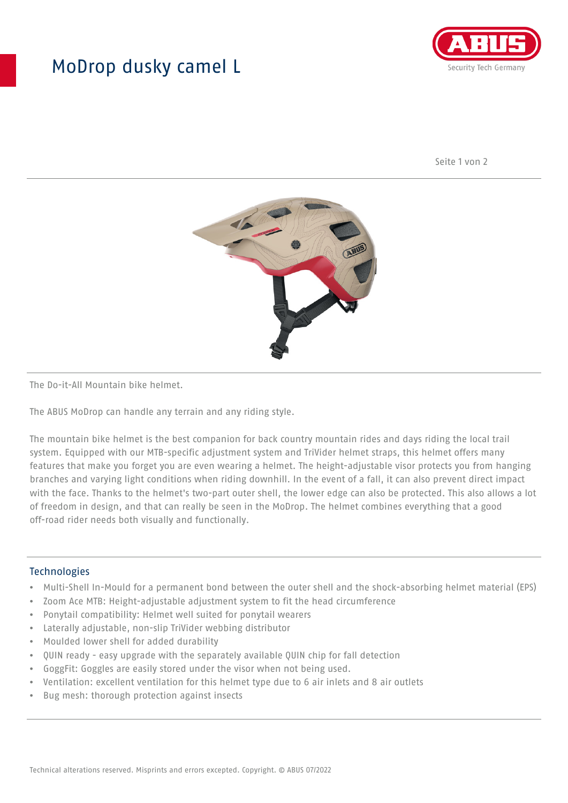## MoDrop dusky camel L



Seite 1 von 2



The Do-it-All Mountain bike helmet.

The ABUS MoDrop can handle any terrain and any riding style.

The mountain bike helmet is the best companion for back country mountain rides and days riding the local trail system. Equipped with our MTB-specific adjustment system and TriVider helmet straps, this helmet offers many features that make you forget you are even wearing a helmet. The height-adjustable visor protects you from hanging branches and varying light conditions when riding downhill. In the event of a fall, it can also prevent direct impact with the face. Thanks to the helmet's two-part outer shell, the lower edge can also be protected. This also allows a lot of freedom in design, and that can really be seen in the MoDrop. The helmet combines everything that a good off-road rider needs both visually and functionally.

## Technologies

- Multi-Shell In-Mould for a permanent bond between the outer shell and the shock-absorbing helmet material (EPS)
- Zoom Ace MTB: Height-adjustable adjustment system to fit the head circumference
- Ponytail compatibility: Helmet well suited for ponytail wearers
- Laterally adjustable, non-slip TriVider webbing distributor
- Moulded lower shell for added durability
- QUIN ready easy upgrade with the separately available QUIN chip for fall detection
- GoggFit: Goggles are easily stored under the visor when not being used.
- Ventilation: excellent ventilation for this helmet type due to 6 air inlets and 8 air outlets
- Bug mesh: thorough protection against insects